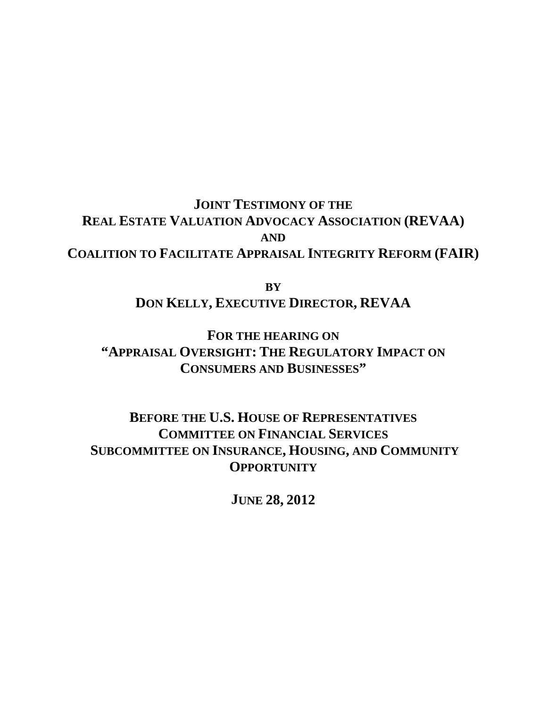**JOINT TESTIMONY OF THE REAL ESTATE VALUATION ADVOCACY ASSOCIATION (REVAA) AND COALITION TO FACILITATE APPRAISAL INTEGRITY REFORM (FAIR)**

> **BY DON KELLY, EXECUTIVE DIRECTOR, REVAA**

**FOR THE HEARING ON "APPRAISAL OVERSIGHT: THE REGULATORY IMPACT ON CONSUMERS AND BUSINESSES"**

**BEFORE THE U.S. HOUSE OF REPRESENTATIVES COMMITTEE ON FINANCIAL SERVICES SUBCOMMITTEE ON INSURANCE, HOUSING, AND COMMUNITY OPPORTUNITY** 

**JUNE 28, 2012**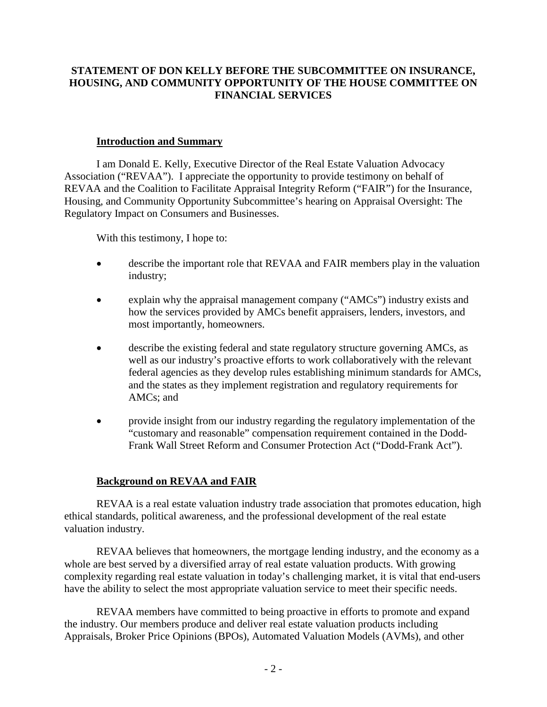## **STATEMENT OF DON KELLY BEFORE THE SUBCOMMITTEE ON INSURANCE, HOUSING, AND COMMUNITY OPPORTUNITY OF THE HOUSE COMMITTEE ON FINANCIAL SERVICES**

#### **Introduction and Summary**

I am Donald E. Kelly, Executive Director of the Real Estate Valuation Advocacy Association ("REVAA"). I appreciate the opportunity to provide testimony on behalf of REVAA and the Coalition to Facilitate Appraisal Integrity Reform ("FAIR") for the Insurance, Housing, and Community Opportunity Subcommittee's hearing on Appraisal Oversight: The Regulatory Impact on Consumers and Businesses.

With this testimony, I hope to:

- describe the important role that REVAA and FAIR members play in the valuation industry;
- explain why the appraisal management company ("AMCs") industry exists and how the services provided by AMCs benefit appraisers, lenders, investors, and most importantly, homeowners.
- describe the existing federal and state regulatory structure governing AMCs, as well as our industry's proactive efforts to work collaboratively with the relevant federal agencies as they develop rules establishing minimum standards for AMCs, and the states as they implement registration and regulatory requirements for AMCs; and
- provide insight from our industry regarding the regulatory implementation of the "customary and reasonable" compensation requirement contained in the Dodd-Frank Wall Street Reform and Consumer Protection Act ("Dodd-Frank Act").

# **Background on REVAA and FAIR**

REVAA is a real estate valuation industry trade association that promotes education, high ethical standards, political awareness, and the professional development of the real estate valuation industry.

REVAA believes that homeowners, the mortgage lending industry, and the economy as a whole are best served by a diversified array of real estate valuation products. With growing complexity regarding real estate valuation in today's challenging market, it is vital that end-users have the ability to select the most appropriate valuation service to meet their specific needs.

REVAA members have committed to being proactive in efforts to promote and expand the industry. Our members produce and deliver real estate valuation products including Appraisals, Broker Price Opinions (BPOs), Automated Valuation Models (AVMs), and other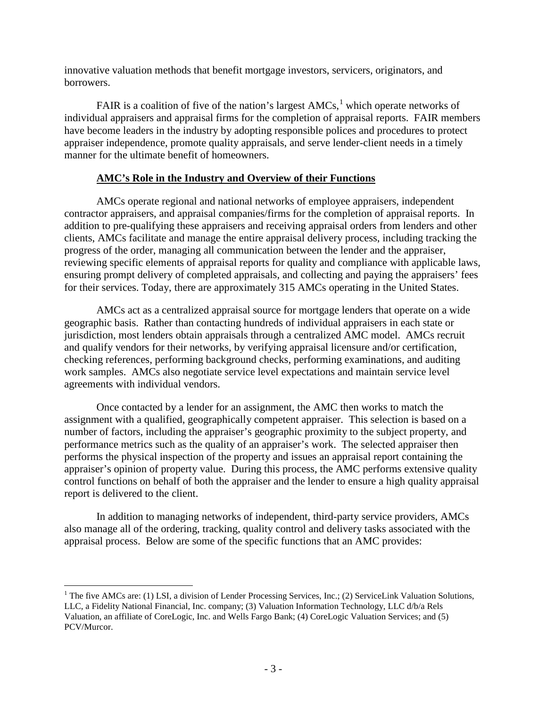innovative valuation methods that benefit mortgage investors, servicers, originators, and borrowers.

FAIR is a coalition of five of the nation's largest  $AMCs$ <sup>[1](#page-2-0)</sup>, which operate networks of individual appraisers and appraisal firms for the completion of appraisal reports. FAIR members have become leaders in the industry by adopting responsible polices and procedures to protect appraiser independence, promote quality appraisals, and serve lender-client needs in a timely manner for the ultimate benefit of homeowners.

#### **AMC's Role in the Industry and Overview of their Functions**

AMCs operate regional and national networks of employee appraisers, independent contractor appraisers, and appraisal companies/firms for the completion of appraisal reports. In addition to pre-qualifying these appraisers and receiving appraisal orders from lenders and other clients, AMCs facilitate and manage the entire appraisal delivery process, including tracking the progress of the order, managing all communication between the lender and the appraiser, reviewing specific elements of appraisal reports for quality and compliance with applicable laws, ensuring prompt delivery of completed appraisals, and collecting and paying the appraisers' fees for their services. Today, there are approximately 315 AMCs operating in the United States.

AMCs act as a centralized appraisal source for mortgage lenders that operate on a wide geographic basis. Rather than contacting hundreds of individual appraisers in each state or jurisdiction, most lenders obtain appraisals through a centralized AMC model. AMCs recruit and qualify vendors for their networks, by verifying appraisal licensure and/or certification, checking references, performing background checks, performing examinations, and auditing work samples. AMCs also negotiate service level expectations and maintain service level agreements with individual vendors.

Once contacted by a lender for an assignment, the AMC then works to match the assignment with a qualified, geographically competent appraiser. This selection is based on a number of factors, including the appraiser's geographic proximity to the subject property, and performance metrics such as the quality of an appraiser's work. The selected appraiser then performs the physical inspection of the property and issues an appraisal report containing the appraiser's opinion of property value. During this process, the AMC performs extensive quality control functions on behalf of both the appraiser and the lender to ensure a high quality appraisal report is delivered to the client.

In addition to managing networks of independent, third-party service providers, AMCs also manage all of the ordering, tracking, quality control and delivery tasks associated with the appraisal process. Below are some of the specific functions that an AMC provides:

<span id="page-2-0"></span> $1$  The five AMCs are: (1) LSI, a division of Lender Processing Services, Inc.; (2) ServiceLink Valuation Solutions, LLC, a Fidelity National Financial, Inc. company; (3) Valuation Information Technology, LLC d/b/a Rels Valuation, an affiliate of CoreLogic, Inc. and Wells Fargo Bank; (4) CoreLogic Valuation Services; and (5) PCV/Murcor.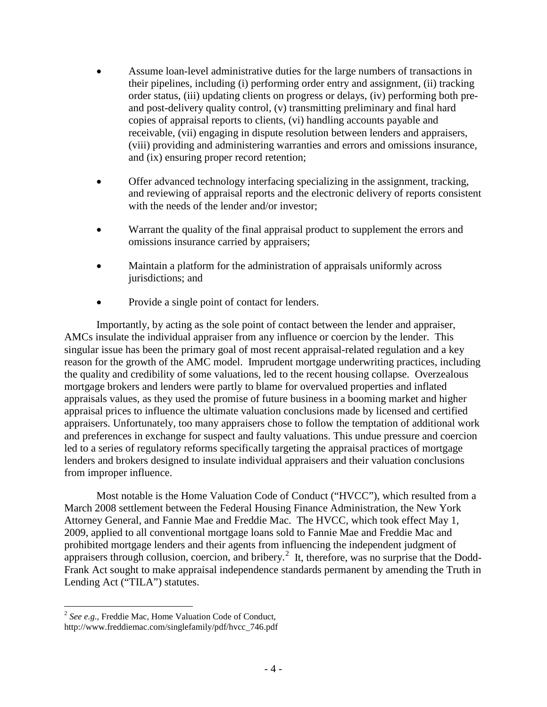- Assume loan-level administrative duties for the large numbers of transactions in their pipelines, including (i) performing order entry and assignment, (ii) tracking order status, (iii) updating clients on progress or delays, (iv) performing both preand post-delivery quality control, (v) transmitting preliminary and final hard copies of appraisal reports to clients, (vi) handling accounts payable and receivable, (vii) engaging in dispute resolution between lenders and appraisers, (viii) providing and administering warranties and errors and omissions insurance, and (ix) ensuring proper record retention;
- Offer advanced technology interfacing specializing in the assignment, tracking, and reviewing of appraisal reports and the electronic delivery of reports consistent with the needs of the lender and/or investor;
- Warrant the quality of the final appraisal product to supplement the errors and omissions insurance carried by appraisers;
- Maintain a platform for the administration of appraisals uniformly across jurisdictions; and
- Provide a single point of contact for lenders.

Importantly, by acting as the sole point of contact between the lender and appraiser, AMCs insulate the individual appraiser from any influence or coercion by the lender. This singular issue has been the primary goal of most recent appraisal-related regulation and a key reason for the growth of the AMC model. Imprudent mortgage underwriting practices, including the quality and credibility of some valuations, led to the recent housing collapse. Overzealous mortgage brokers and lenders were partly to blame for overvalued properties and inflated appraisals values, as they used the promise of future business in a booming market and higher appraisal prices to influence the ultimate valuation conclusions made by licensed and certified appraisers. Unfortunately, too many appraisers chose to follow the temptation of additional work and preferences in exchange for suspect and faulty valuations. This undue pressure and coercion led to a series of regulatory reforms specifically targeting the appraisal practices of mortgage lenders and brokers designed to insulate individual appraisers and their valuation conclusions from improper influence.

Most notable is the Home Valuation Code of Conduct ("HVCC"), which resulted from a March 2008 settlement between the Federal Housing Finance Administration, the New York Attorney General, and Fannie Mae and Freddie Mac. The HVCC, which took effect May 1, 2009, applied to all conventional mortgage loans sold to Fannie Mae and Freddie Mac and prohibited mortgage lenders and their agents from influencing the independent judgment of appraisers through collusion, coercion, and bribery.<sup>[2](#page-3-0)</sup> It, therefore, was no surprise that the Dodd-Frank Act sought to make appraisal independence standards permanent by amending the Truth in Lending Act ("TILA") statutes.

<span id="page-3-0"></span> <sup>2</sup> *See e.g.,* Freddie Mac, Home Valuation Code of Conduct,

http://www.freddiemac.com/singlefamily/pdf/hvcc\_746.pdf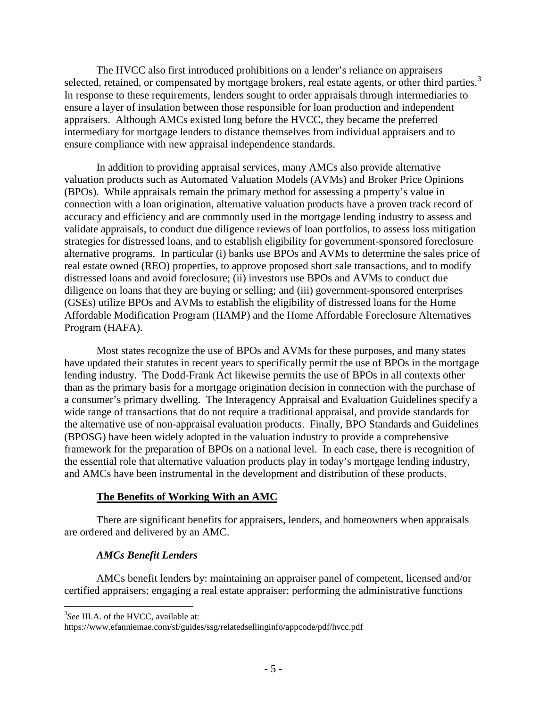The HVCC also first introduced prohibitions on a lender's reliance on appraisers selected, retained, or compensated by mortgage brokers, real estate agents, or other third parties.<sup>[3](#page-4-0)</sup> In response to these requirements, lenders sought to order appraisals through intermediaries to ensure a layer of insulation between those responsible for loan production and independent appraisers. Although AMCs existed long before the HVCC, they became the preferred intermediary for mortgage lenders to distance themselves from individual appraisers and to ensure compliance with new appraisal independence standards.

In addition to providing appraisal services, many AMCs also provide alternative valuation products such as Automated Valuation Models (AVMs) and Broker Price Opinions (BPOs). While appraisals remain the primary method for assessing a property's value in connection with a loan origination, alternative valuation products have a proven track record of accuracy and efficiency and are commonly used in the mortgage lending industry to assess and validate appraisals, to conduct due diligence reviews of loan portfolios, to assess loss mitigation strategies for distressed loans, and to establish eligibility for government-sponsored foreclosure alternative programs. In particular (i) banks use BPOs and AVMs to determine the sales price of real estate owned (REO) properties, to approve proposed short sale transactions, and to modify distressed loans and avoid foreclosure; (ii) investors use BPOs and AVMs to conduct due diligence on loans that they are buying or selling; and (iii) government-sponsored enterprises (GSEs) utilize BPOs and AVMs to establish the eligibility of distressed loans for the Home Affordable Modification Program (HAMP) and the Home Affordable Foreclosure Alternatives Program (HAFA).

Most states recognize the use of BPOs and AVMs for these purposes, and many states have updated their statutes in recent years to specifically permit the use of BPOs in the mortgage lending industry. The Dodd-Frank Act likewise permits the use of BPOs in all contexts other than as the primary basis for a mortgage origination decision in connection with the purchase of a consumer's primary dwelling. The Interagency Appraisal and Evaluation Guidelines specify a wide range of transactions that do not require a traditional appraisal, and provide standards for the alternative use of non-appraisal evaluation products. Finally, BPO Standards and Guidelines (BPOSG) have been widely adopted in the valuation industry to provide a comprehensive framework for the preparation of BPOs on a national level. In each case, there is recognition of the essential role that alternative valuation products play in today's mortgage lending industry, and AMCs have been instrumental in the development and distribution of these products.

#### **The Benefits of Working With an AMC**

There are significant benefits for appraisers, lenders, and homeowners when appraisals are ordered and delivered by an AMC.

#### *AMCs Benefit Lenders*

AMCs benefit lenders by: maintaining an appraiser panel of competent, licensed and/or certified appraisers; engaging a real estate appraiser; performing the administrative functions

<span id="page-4-0"></span><sup>&</sup>lt;sup>2</sup><br>3 <sup>3</sup>See III.A. of the HVCC, available at:

https://www.efanniemae.com/sf/guides/ssg/relatedsellinginfo/appcode/pdf/hvcc.pdf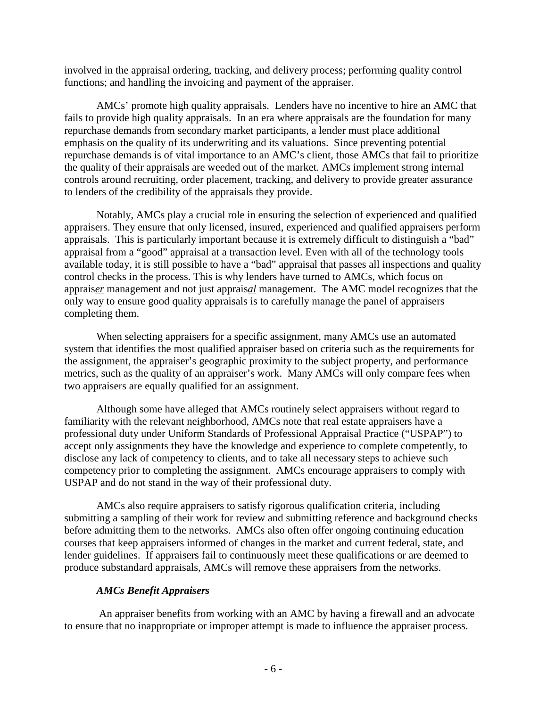involved in the appraisal ordering, tracking, and delivery process; performing quality control functions; and handling the invoicing and payment of the appraiser.

AMCs' promote high quality appraisals. Lenders have no incentive to hire an AMC that fails to provide high quality appraisals. In an era where appraisals are the foundation for many repurchase demands from secondary market participants, a lender must place additional emphasis on the quality of its underwriting and its valuations. Since preventing potential repurchase demands is of vital importance to an AMC's client, those AMCs that fail to prioritize the quality of their appraisals are weeded out of the market. AMCs implement strong internal controls around recruiting, order placement, tracking, and delivery to provide greater assurance to lenders of the credibility of the appraisals they provide.

Notably, AMCs play a crucial role in ensuring the selection of experienced and qualified appraisers. They ensure that only licensed, insured, experienced and qualified appraisers perform appraisals. This is particularly important because it is extremely difficult to distinguish a "bad" appraisal from a "good" appraisal at a transaction level. Even with all of the technology tools available today, it is still possible to have a "bad" appraisal that passes all inspections and quality control checks in the process. This is why lenders have turned to AMCs, which focus on apprais*er* management and not just apprais*al* management. The AMC model recognizes that the only way to ensure good quality appraisals is to carefully manage the panel of appraisers completing them.

When selecting appraisers for a specific assignment, many AMCs use an automated system that identifies the most qualified appraiser based on criteria such as the requirements for the assignment, the appraiser's geographic proximity to the subject property, and performance metrics, such as the quality of an appraiser's work. Many AMCs will only compare fees when two appraisers are equally qualified for an assignment.

Although some have alleged that AMCs routinely select appraisers without regard to familiarity with the relevant neighborhood, AMCs note that real estate appraisers have a professional duty under Uniform Standards of Professional Appraisal Practice ("USPAP") to accept only assignments they have the knowledge and experience to complete competently, to disclose any lack of competency to clients, and to take all necessary steps to achieve such competency prior to completing the assignment. AMCs encourage appraisers to comply with USPAP and do not stand in the way of their professional duty.

AMCs also require appraisers to satisfy rigorous qualification criteria, including submitting a sampling of their work for review and submitting reference and background checks before admitting them to the networks. AMCs also often offer ongoing continuing education courses that keep appraisers informed of changes in the market and current federal, state, and lender guidelines. If appraisers fail to continuously meet these qualifications or are deemed to produce substandard appraisals, AMCs will remove these appraisers from the networks.

### *AMCs Benefit Appraisers*

An appraiser benefits from working with an AMC by having a firewall and an advocate to ensure that no inappropriate or improper attempt is made to influence the appraiser process.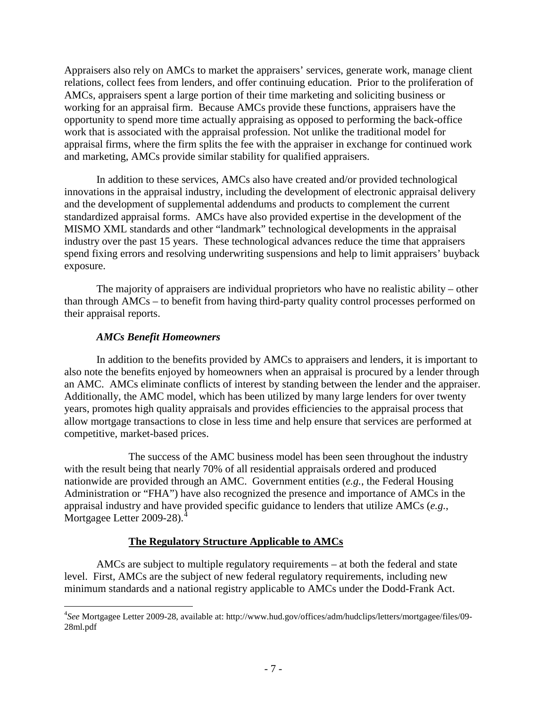Appraisers also rely on AMCs to market the appraisers' services, generate work, manage client relations, collect fees from lenders, and offer continuing education. Prior to the proliferation of AMCs, appraisers spent a large portion of their time marketing and soliciting business or working for an appraisal firm. Because AMCs provide these functions, appraisers have the opportunity to spend more time actually appraising as opposed to performing the back-office work that is associated with the appraisal profession. Not unlike the traditional model for appraisal firms, where the firm splits the fee with the appraiser in exchange for continued work and marketing, AMCs provide similar stability for qualified appraisers.

In addition to these services, AMCs also have created and/or provided technological innovations in the appraisal industry, including the development of electronic appraisal delivery and the development of supplemental addendums and products to complement the current standardized appraisal forms. AMCs have also provided expertise in the development of the MISMO XML standards and other "landmark" technological developments in the appraisal industry over the past 15 years. These technological advances reduce the time that appraisers spend fixing errors and resolving underwriting suspensions and help to limit appraisers' buyback exposure.

The majority of appraisers are individual proprietors who have no realistic ability – other than through AMCs – to benefit from having third-party quality control processes performed on their appraisal reports.

#### *AMCs Benefit Homeowners*

In addition to the benefits provided by AMCs to appraisers and lenders, it is important to also note the benefits enjoyed by homeowners when an appraisal is procured by a lender through an AMC. AMCs eliminate conflicts of interest by standing between the lender and the appraiser. Additionally, the AMC model, which has been utilized by many large lenders for over twenty years, promotes high quality appraisals and provides efficiencies to the appraisal process that allow mortgage transactions to close in less time and help ensure that services are performed at competitive, market-based prices.

The success of the AMC business model has been seen throughout the industry with the result being that nearly 70% of all residential appraisals ordered and produced nationwide are provided through an AMC. Government entities (*e.g.*, the Federal Housing Administration or "FHA") have also recognized the presence and importance of AMCs in the appraisal industry and have provided specific guidance to lenders that utilize AMCs (*e.g.*, Mortgagee Letter 2009-28).<sup>[4](#page-6-0)</sup>

### **The Regulatory Structure Applicable to AMCs**

AMCs are subject to multiple regulatory requirements – at both the federal and state level. First, AMCs are the subject of new federal regulatory requirements, including new minimum standards and a national registry applicable to AMCs under the Dodd-Frank Act.

<span id="page-6-0"></span> $\frac{1}{4}$ *See* Mortgagee Letter 2009-28, available at: http://www.hud.gov/offices/adm/hudclips/letters/mortgagee/files/09- 28ml.pdf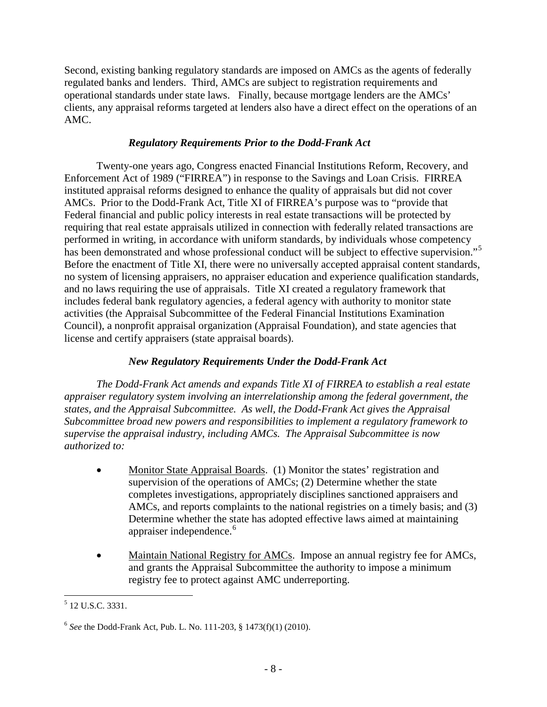Second, existing banking regulatory standards are imposed on AMCs as the agents of federally regulated banks and lenders. Third, AMCs are subject to registration requirements and operational standards under state laws. Finally, because mortgage lenders are the AMCs' clients, any appraisal reforms targeted at lenders also have a direct effect on the operations of an AMC.

## *Regulatory Requirements Prior to the Dodd-Frank Act*

Twenty-one years ago, Congress enacted Financial Institutions Reform, Recovery, and Enforcement Act of 1989 ("FIRREA") in response to the Savings and Loan Crisis. FIRREA instituted appraisal reforms designed to enhance the quality of appraisals but did not cover AMCs. Prior to the Dodd-Frank Act, Title XI of FIRREA's purpose was to "provide that Federal financial and public policy interests in real estate transactions will be protected by requiring that real estate appraisals utilized in connection with federally related transactions are performed in writing, in accordance with uniform standards, by individuals whose competency has been demonstrated and whose professional conduct will be subject to effective supervision."<sup>[5](#page-7-0)</sup> Before the enactment of Title XI, there were no universally accepted appraisal content standards, no system of licensing appraisers, no appraiser education and experience qualification standards, and no laws requiring the use of appraisals. Title XI created a regulatory framework that includes federal bank regulatory agencies, a federal agency with authority to monitor state activities (the Appraisal Subcommittee of the Federal Financial Institutions Examination Council), a nonprofit appraisal organization (Appraisal Foundation), and state agencies that license and certify appraisers (state appraisal boards).

# *New Regulatory Requirements Under the Dodd-Frank Act*

*The Dodd-Frank Act amends and expands Title XI of FIRREA to establish a real estate appraiser regulatory system involving an interrelationship among the federal government, the states, and the Appraisal Subcommittee. As well, the Dodd-Frank Act gives the Appraisal Subcommittee broad new powers and responsibilities to implement a regulatory framework to supervise the appraisal industry, including AMCs. The Appraisal Subcommittee is now authorized to:* 

- Monitor State Appraisal Boards. (1) Monitor the states' registration and supervision of the operations of AMCs; (2) Determine whether the state completes investigations, appropriately disciplines sanctioned appraisers and AMCs, and reports complaints to the national registries on a timely basis; and (3) Determine whether the state has adopted effective laws aimed at maintaining appraiser independence.<sup>[6](#page-7-1)</sup>
- Maintain National Registry for AMCs. Impose an annual registry fee for AMCs, and grants the Appraisal Subcommittee the authority to impose a minimum registry fee to protect against AMC underreporting.

<span id="page-7-0"></span> <sup>5</sup> 12 U.S.C. 3331.

<span id="page-7-1"></span><sup>6</sup> *See* the Dodd-Frank Act, Pub. L. No. 111-203, § 1473(f)(1) (2010).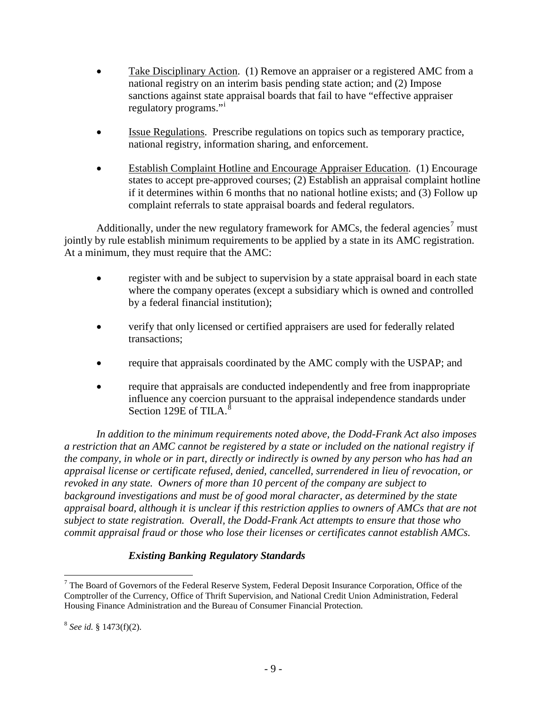- Take Disciplinary Action. (1) Remove an appraiser or a registered AMC from a national registry on an interim basis pending state action; and (2) Impose sanctions against state appraisal boards that fail to have "effective appraiser regulatory programs."
- Issue Regulations. Prescribe regulations on topics such as temporary practice, national registry, information sharing, and enforcement.
- Establish Complaint Hotline and Encourage Appraiser Education. (1) Encourage states to accept pre-approved courses; (2) Establish an appraisal complaint hotline if it determines within 6 months that no national hotline exists; and (3) Follow up complaint referrals to state appraisal boards and federal regulators.

Additionally, under the new regulatory framework for AMCs, the federal agencies<sup>[7](#page-8-0)</sup> must jointly by rule establish minimum requirements to be applied by a state in its AMC registration. At a minimum, they must require that the AMC:

- register with and be subject to supervision by a state appraisal board in each state where the company operates (except a subsidiary which is owned and controlled by a federal financial institution);
- verify that only licensed or certified appraisers are used for federally related transactions;
- require that appraisals coordinated by the AMC comply with the USPAP; and
- require that appraisals are conducted independently and free from inappropriate influence any coercion pursuant to the appraisal independence standards under Section 129E of TILA. $^{8}$  $^{8}$  $^{8}$

*In addition to the minimum requirements noted above, the Dodd-Frank Act also imposes a restriction that an AMC cannot be registered by a state or included on the national registry if the company, in whole or in part, directly or indirectly is owned by any person who has had an appraisal license or certificate refused, denied, cancelled, surrendered in lieu of revocation, or revoked in any state. Owners of more than 10 percent of the company are subject to background investigations and must be of good moral character, as determined by the state appraisal board, although it is unclear if this restriction applies to owners of AMCs that are not subject to state registration. Overall, the Dodd-Frank Act attempts to ensure that those who commit appraisal fraud or those who lose their licenses or certificates cannot establish AMCs.*

# *Existing Banking Regulatory Standards*

<span id="page-8-0"></span><sup>&</sup>lt;sup>7</sup> The Board of Governors of the Federal Reserve System, Federal Deposit Insurance Corporation, Office of the Comptroller of the Currency, Office of Thrift Supervision, and National Credit Union Administration, Federal Housing Finance Administration and the Bureau of Consumer Financial Protection.

<span id="page-8-1"></span><sup>8</sup> *See id.* § 1473(f)(2).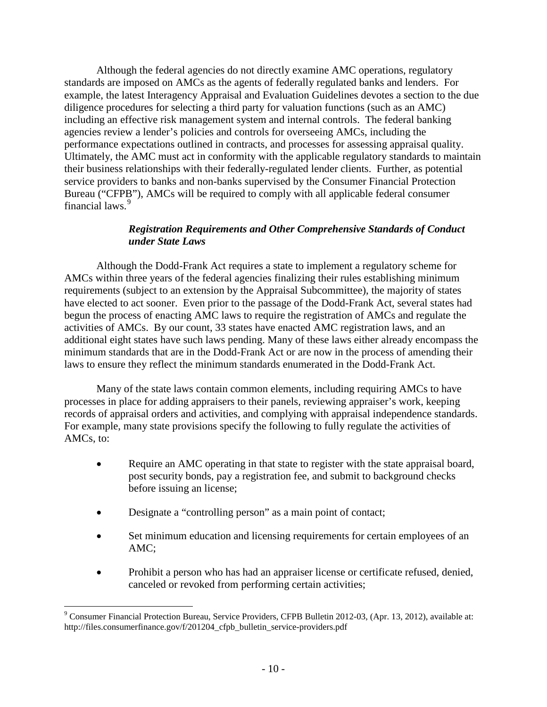Although the federal agencies do not directly examine AMC operations, regulatory standards are imposed on AMCs as the agents of federally regulated banks and lenders. For example, the latest Interagency Appraisal and Evaluation Guidelines devotes a section to the due diligence procedures for selecting a third party for valuation functions (such as an AMC) including an effective risk management system and internal controls. The federal banking agencies review a lender's policies and controls for overseeing AMCs, including the performance expectations outlined in contracts, and processes for assessing appraisal quality. Ultimately, the AMC must act in conformity with the applicable regulatory standards to maintain their business relationships with their federally-regulated lender clients. Further, as potential service providers to banks and non-banks supervised by the Consumer Financial Protection Bureau ("CFPB"), AMCs will be required to comply with all applicable federal consumer financial laws.<sup>[9](#page-9-0)</sup>

#### *Registration Requirements and Other Comprehensive Standards of Conduct under State Laws*

Although the Dodd-Frank Act requires a state to implement a regulatory scheme for AMCs within three years of the federal agencies finalizing their rules establishing minimum requirements (subject to an extension by the Appraisal Subcommittee), the majority of states have elected to act sooner. Even prior to the passage of the Dodd-Frank Act, several states had begun the process of enacting AMC laws to require the registration of AMCs and regulate the activities of AMCs. By our count, 33 states have enacted AMC registration laws, and an additional eight states have such laws pending. Many of these laws either already encompass the minimum standards that are in the Dodd-Frank Act or are now in the process of amending their laws to ensure they reflect the minimum standards enumerated in the Dodd-Frank Act.

Many of the state laws contain common elements, including requiring AMCs to have processes in place for adding appraisers to their panels, reviewing appraiser's work, keeping records of appraisal orders and activities, and complying with appraisal independence standards. For example, many state provisions specify the following to fully regulate the activities of AMCs, to:

- Require an AMC operating in that state to register with the state appraisal board, post security bonds, pay a registration fee, and submit to background checks before issuing an license;
- Designate a "controlling person" as a main point of contact;
- Set minimum education and licensing requirements for certain employees of an AMC;
- Prohibit a person who has had an appraiser license or certificate refused, denied, canceled or revoked from performing certain activities;

<span id="page-9-0"></span> <sup>9</sup> Consumer Financial Protection Bureau, Service Providers, CFPB Bulletin 2012-03, (Apr. 13, 2012), available at: http://files.consumerfinance.gov/f/201204\_cfpb\_bulletin\_service-providers.pdf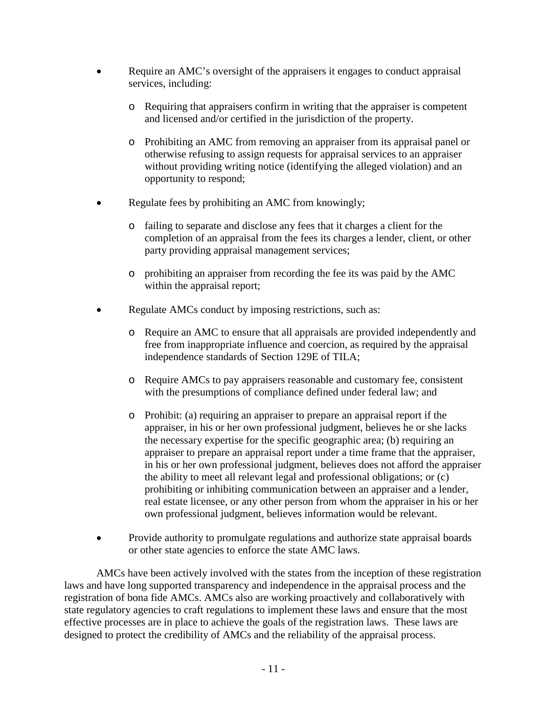- Require an AMC's oversight of the appraisers it engages to conduct appraisal services, including:
	- o Requiring that appraisers confirm in writing that the appraiser is competent and licensed and/or certified in the jurisdiction of the property.
	- o Prohibiting an AMC from removing an appraiser from its appraisal panel or otherwise refusing to assign requests for appraisal services to an appraiser without providing writing notice (identifying the alleged violation) and an opportunity to respond;
- Regulate fees by prohibiting an AMC from knowingly;
	- o failing to separate and disclose any fees that it charges a client for the completion of an appraisal from the fees its charges a lender, client, or other party providing appraisal management services;
	- o prohibiting an appraiser from recording the fee its was paid by the AMC within the appraisal report;
- Regulate AMCs conduct by imposing restrictions, such as:
	- o Require an AMC to ensure that all appraisals are provided independently and free from inappropriate influence and coercion, as required by the appraisal independence standards of Section 129E of TILA;
	- o Require AMCs to pay appraisers reasonable and customary fee, consistent with the presumptions of compliance defined under federal law; and
	- o Prohibit: (a) requiring an appraiser to prepare an appraisal report if the appraiser, in his or her own professional judgment, believes he or she lacks the necessary expertise for the specific geographic area; (b) requiring an appraiser to prepare an appraisal report under a time frame that the appraiser, in his or her own professional judgment, believes does not afford the appraiser the ability to meet all relevant legal and professional obligations; or (c) prohibiting or inhibiting communication between an appraiser and a lender, real estate licensee, or any other person from whom the appraiser in his or her own professional judgment, believes information would be relevant.
- Provide authority to promulgate regulations and authorize state appraisal boards or other state agencies to enforce the state AMC laws.

AMCs have been actively involved with the states from the inception of these registration laws and have long supported transparency and independence in the appraisal process and the registration of bona fide AMCs. AMCs also are working proactively and collaboratively with state regulatory agencies to craft regulations to implement these laws and ensure that the most effective processes are in place to achieve the goals of the registration laws. These laws are designed to protect the credibility of AMCs and the reliability of the appraisal process.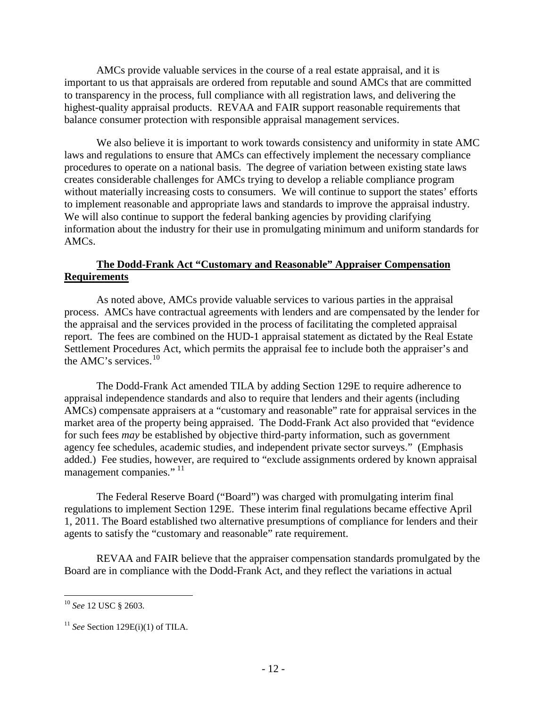AMCs provide valuable services in the course of a real estate appraisal, and it is important to us that appraisals are ordered from reputable and sound AMCs that are committed to transparency in the process, full compliance with all registration laws, and delivering the highest-quality appraisal products. REVAA and FAIR support reasonable requirements that balance consumer protection with responsible appraisal management services.

We also believe it is important to work towards consistency and uniformity in state AMC laws and regulations to ensure that AMCs can effectively implement the necessary compliance procedures to operate on a national basis. The degree of variation between existing state laws creates considerable challenges for AMCs trying to develop a reliable compliance program without materially increasing costs to consumers. We will continue to support the states' efforts to implement reasonable and appropriate laws and standards to improve the appraisal industry. We will also continue to support the federal banking agencies by providing clarifying information about the industry for their use in promulgating minimum and uniform standards for AMCs.

## **The Dodd-Frank Act "Customary and Reasonable" Appraiser Compensation Requirements**

As noted above, AMCs provide valuable services to various parties in the appraisal process. AMCs have contractual agreements with lenders and are compensated by the lender for the appraisal and the services provided in the process of facilitating the completed appraisal report. The fees are combined on the HUD-1 appraisal statement as dictated by the Real Estate Settlement Procedures Act, which permits the appraisal fee to include both the appraiser's and the AMC's services.<sup>[10](#page-11-0)</sup>

The Dodd-Frank Act amended TILA by adding Section 129E to require adherence to appraisal independence standards and also to require that lenders and their agents (including AMCs) compensate appraisers at a "customary and reasonable" rate for appraisal services in the market area of the property being appraised. The Dodd-Frank Act also provided that "evidence for such fees *may* be established by objective third-party information, such as government agency fee schedules, academic studies, and independent private sector surveys." (Emphasis added.) Fee studies, however, are required to "exclude assignments ordered by known appraisal management companies."<sup>[11](#page-11-1)</sup>

The Federal Reserve Board ("Board") was charged with promulgating interim final regulations to implement Section 129E. These interim final regulations became effective April 1, 2011. The Board established two alternative presumptions of compliance for lenders and their agents to satisfy the "customary and reasonable" rate requirement.

REVAA and FAIR believe that the appraiser compensation standards promulgated by the Board are in compliance with the Dodd-Frank Act, and they reflect the variations in actual

<span id="page-11-0"></span> <sup>10</sup> *See* 12 USC § 2603.

<span id="page-11-1"></span><sup>11</sup> *See* Section 129E(i)(1) of TILA.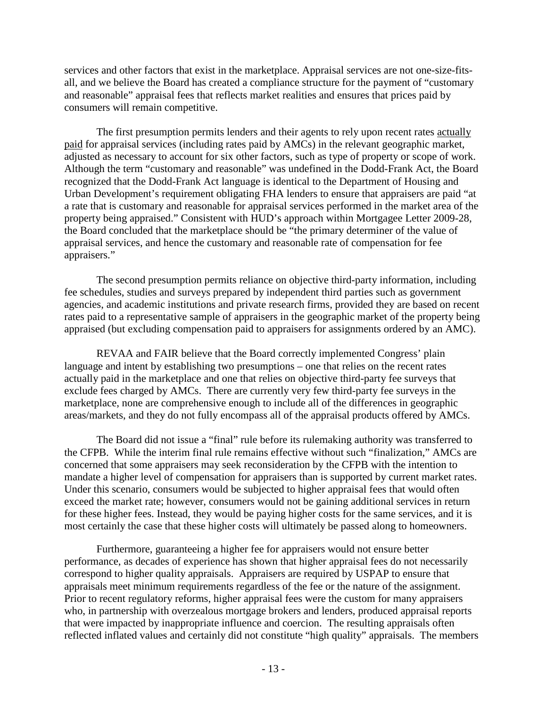services and other factors that exist in the marketplace. Appraisal services are not one-size-fitsall, and we believe the Board has created a compliance structure for the payment of "customary and reasonable" appraisal fees that reflects market realities and ensures that prices paid by consumers will remain competitive.

The first presumption permits lenders and their agents to rely upon recent rates actually paid for appraisal services (including rates paid by AMCs) in the relevant geographic market, adjusted as necessary to account for six other factors, such as type of property or scope of work. Although the term "customary and reasonable" was undefined in the Dodd-Frank Act, the Board recognized that the Dodd-Frank Act language is identical to the Department of Housing and Urban Development's requirement obligating FHA lenders to ensure that appraisers are paid "at a rate that is customary and reasonable for appraisal services performed in the market area of the property being appraised." Consistent with HUD's approach within Mortgagee Letter 2009-28, the Board concluded that the marketplace should be "the primary determiner of the value of appraisal services, and hence the customary and reasonable rate of compensation for fee appraisers."

The second presumption permits reliance on objective third-party information, including fee schedules, studies and surveys prepared by independent third parties such as government agencies, and academic institutions and private research firms, provided they are based on recent rates paid to a representative sample of appraisers in the geographic market of the property being appraised (but excluding compensation paid to appraisers for assignments ordered by an AMC).

REVAA and FAIR believe that the Board correctly implemented Congress' plain language and intent by establishing two presumptions – one that relies on the recent rates actually paid in the marketplace and one that relies on objective third-party fee surveys that exclude fees charged by AMCs. There are currently very few third-party fee surveys in the marketplace, none are comprehensive enough to include all of the differences in geographic areas/markets, and they do not fully encompass all of the appraisal products offered by AMCs.

The Board did not issue a "final" rule before its rulemaking authority was transferred to the CFPB. While the interim final rule remains effective without such "finalization," AMCs are concerned that some appraisers may seek reconsideration by the CFPB with the intention to mandate a higher level of compensation for appraisers than is supported by current market rates. Under this scenario, consumers would be subjected to higher appraisal fees that would often exceed the market rate; however, consumers would not be gaining additional services in return for these higher fees. Instead, they would be paying higher costs for the same services, and it is most certainly the case that these higher costs will ultimately be passed along to homeowners.

Furthermore, guaranteeing a higher fee for appraisers would not ensure better performance, as decades of experience has shown that higher appraisal fees do not necessarily correspond to higher quality appraisals. Appraisers are required by USPAP to ensure that appraisals meet minimum requirements regardless of the fee or the nature of the assignment. Prior to recent regulatory reforms, higher appraisal fees were the custom for many appraisers who, in partnership with overzealous mortgage brokers and lenders, produced appraisal reports that were impacted by inappropriate influence and coercion. The resulting appraisals often reflected inflated values and certainly did not constitute "high quality" appraisals. The members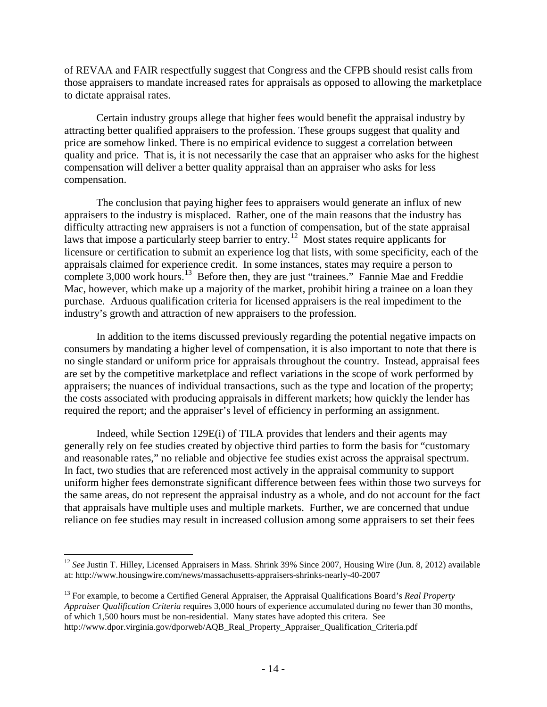of REVAA and FAIR respectfully suggest that Congress and the CFPB should resist calls from those appraisers to mandate increased rates for appraisals as opposed to allowing the marketplace to dictate appraisal rates.

Certain industry groups allege that higher fees would benefit the appraisal industry by attracting better qualified appraisers to the profession. These groups suggest that quality and price are somehow linked. There is no empirical evidence to suggest a correlation between quality and price. That is, it is not necessarily the case that an appraiser who asks for the highest compensation will deliver a better quality appraisal than an appraiser who asks for less compensation.

The conclusion that paying higher fees to appraisers would generate an influx of new appraisers to the industry is misplaced. Rather, one of the main reasons that the industry has difficulty attracting new appraisers is not a function of compensation, but of the state appraisal laws that impose a particularly steep barrier to entry.<sup>12</sup> Most states require applicants for licensure or certification to submit an experience log that lists, with some specificity, each of the appraisals claimed for experience credit. In some instances, states may require a person to complete 3,000 work hours.<sup>13</sup> Before then, they are just "trainees." Fannie Mae and Freddie Mac, however, which make up a majority of the market, prohibit hiring a trainee on a loan they purchase. Arduous qualification criteria for licensed appraisers is the real impediment to the industry's growth and attraction of new appraisers to the profession.

In addition to the items discussed previously regarding the potential negative impacts on consumers by mandating a higher level of compensation, it is also important to note that there is no single standard or uniform price for appraisals throughout the country. Instead, appraisal fees are set by the competitive marketplace and reflect variations in the scope of work performed by appraisers; the nuances of individual transactions, such as the type and location of the property; the costs associated with producing appraisals in different markets; how quickly the lender has required the report; and the appraiser's level of efficiency in performing an assignment.

Indeed, while Section 129E(i) of TILA provides that lenders and their agents may generally rely on fee studies created by objective third parties to form the basis for "customary and reasonable rates," no reliable and objective fee studies exist across the appraisal spectrum. In fact, two studies that are referenced most actively in the appraisal community to support uniform higher fees demonstrate significant difference between fees within those two surveys for the same areas, do not represent the appraisal industry as a whole, and do not account for the fact that appraisals have multiple uses and multiple markets. Further, we are concerned that undue reliance on fee studies may result in increased collusion among some appraisers to set their fees

<span id="page-13-0"></span><sup>&</sup>lt;sup>12</sup> See Justin T. Hilley, Licensed Appraisers in Mass. Shrink 39% Since 2007, Housing Wire (Jun. 8, 2012) available at: http://www.housingwire.com/news/massachusetts-appraisers-shrinks-nearly-40-2007

<span id="page-13-1"></span><sup>13</sup> For example, to become a Certified General Appraiser, the Appraisal Qualifications Board's *Real Property Appraiser Qualification Criteria* requires 3,000 hours of experience accumulated during no fewer than 30 months, of which 1,500 hours must be non-residential. Many states have adopted this critera. See http://www.dpor.virginia.gov/dporweb/AQB\_Real\_Property\_Appraiser\_Qualification\_Criteria.pdf